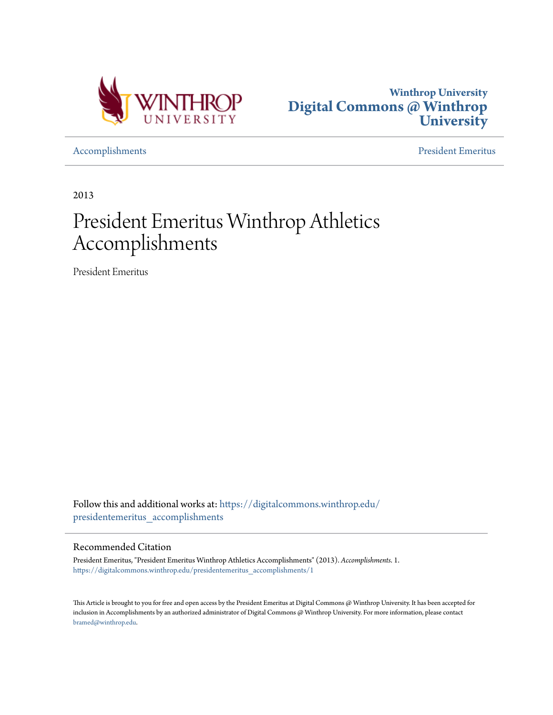



[Accomplishments](https://digitalcommons.winthrop.edu/presidentemeritus_accomplishments?utm_source=digitalcommons.winthrop.edu%2Fpresidentemeritus_accomplishments%2F1&utm_medium=PDF&utm_campaign=PDFCoverPages) [President Emeritus](https://digitalcommons.winthrop.edu/presidentemeritus?utm_source=digitalcommons.winthrop.edu%2Fpresidentemeritus_accomplishments%2F1&utm_medium=PDF&utm_campaign=PDFCoverPages)

2013

# President Emeritus Winthrop Athletics Accomplishments

President Emeritus

Follow this and additional works at: [https://digitalcommons.winthrop.edu/](https://digitalcommons.winthrop.edu/presidentemeritus_accomplishments?utm_source=digitalcommons.winthrop.edu%2Fpresidentemeritus_accomplishments%2F1&utm_medium=PDF&utm_campaign=PDFCoverPages) [presidentemeritus\\_accomplishments](https://digitalcommons.winthrop.edu/presidentemeritus_accomplishments?utm_source=digitalcommons.winthrop.edu%2Fpresidentemeritus_accomplishments%2F1&utm_medium=PDF&utm_campaign=PDFCoverPages)

#### Recommended Citation

President Emeritus, "President Emeritus Winthrop Athletics Accomplishments" (2013). *Accomplishments*. 1. [https://digitalcommons.winthrop.edu/presidentemeritus\\_accomplishments/1](https://digitalcommons.winthrop.edu/presidentemeritus_accomplishments/1?utm_source=digitalcommons.winthrop.edu%2Fpresidentemeritus_accomplishments%2F1&utm_medium=PDF&utm_campaign=PDFCoverPages)

This Article is brought to you for free and open access by the President Emeritus at Digital Commons @ Winthrop University. It has been accepted for inclusion in Accomplishments by an authorized administrator of Digital Commons @ Winthrop University. For more information, please contact [bramed@winthrop.edu.](mailto:bramed@winthrop.edu)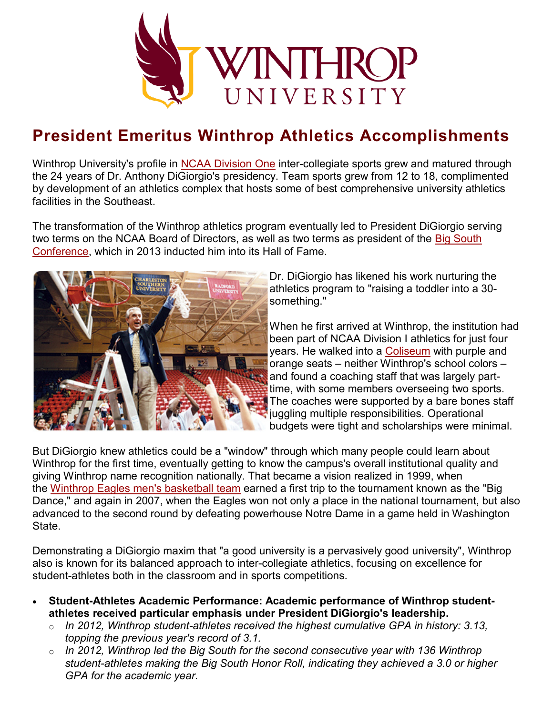

## **President Emeritus Winthrop Athletics Accomplishments**

Winthrop University's profile in [NCAA Division One](http://www.ncaa.org/d1) inter-collegiate sports grew and matured through the 24 years of Dr. Anthony DiGiorgio's presidency. Team sports grew from 12 to 18, complimented by development of an athletics complex that hosts some of best comprehensive university athletics facilities in the Southeast.

The transformation of the Winthrop athletics program eventually led to President DiGiorgio serving two terms on the NCAA Board of Directors, as well as two terms as president of the [Big South](http://www.bigsouthsports.com/)  [Conference,](http://www.bigsouthsports.com/) which in 2013 inducted him into its Hall of Fame.



Dr. DiGiorgio has likened his work nurturing the athletics program to "raising a toddler into a 30 something."

When he first arrived at Winthrop, the institution had been part of NCAA Division I athletics for just four years. He walked into a [Coliseum](https://www.winthrop.edu/virtualtour/farmtour.aspx?id=5150) with purple and orange seats – neither Winthrop's school colors – and found a coaching staff that was largely parttime, with some members overseeing two sports. The coaches were supported by a bare bones staff juggling multiple responsibilities. Operational budgets were tight and scholarships were minimal.

But DiGiorgio knew athletics could be a "window" through which many people could learn about Winthrop for the first time, eventually getting to know the campus's overall institutional quality and giving Winthrop name recognition nationally. That became a vision realized in 1999, when the [Winthrop Eagles men's basketball team](http://www.winthropeagles.com/) earned a first trip to the tournament known as the "Big Dance," and again in 2007, when the Eagles won not only a place in the national tournament, but also advanced to the second round by defeating powerhouse Notre Dame in a game held in Washington State.

Demonstrating a DiGiorgio maxim that "a good university is a pervasively good university", Winthrop also is known for its balanced approach to inter-collegiate athletics, focusing on excellence for student-athletes both in the classroom and in sports competitions.

- **Student-Athletes Academic Performance: Academic performance of Winthrop studentathletes received particular emphasis under President DiGiorgio's leadership.**
	- o *In 2012, Winthrop student-athletes received the highest cumulative GPA in history: 3.13, topping the previous year's record of 3.1.*
	- o *In 2012, Winthrop led the Big South for the second consecutive year with 136 Winthrop student-athletes making the Big South Honor Roll, indicating they achieved a 3.0 or higher GPA for the academic year.*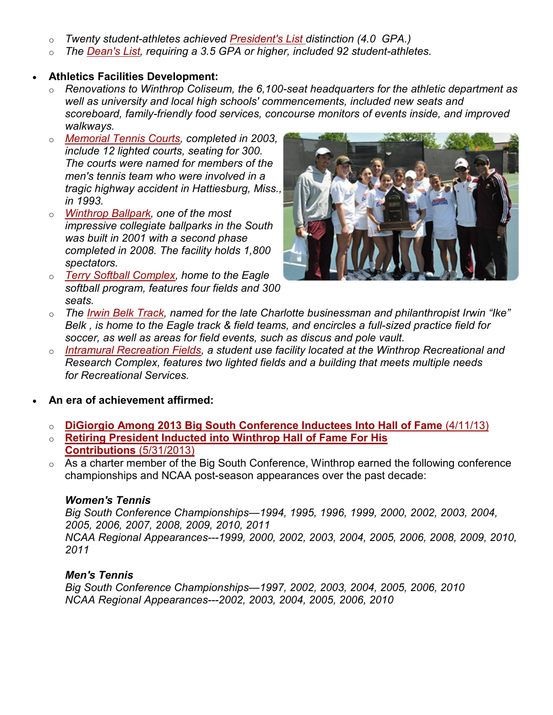- o *Twenty student-athletes achieved [President's List](http://www2.winthrop.edu/gradlist/default.aspx?type=president) distinction (4.0 GPA.)*
- o *The [Dean's List,](http://www2.winthrop.edu/gradlist/default.aspx?type=dean) requiring a 3.5 GPA or higher, included 92 student-athletes.*

#### • **Athletics Facilities Development:**

- o *Renovations to Winthrop Coliseum, the 6,100-seat headquarters for the athletic department as well as university and local high schools' commencements, included new seats and scoreboard, family-friendly food services, concourse monitors of events inside, and improved walkways.*
- o *[Memorial Tennis Courts,](http://www.winthrop.edu/virtualtour/farmtour.aspx?id=5149) completed in 2003, include 12 lighted courts, seating for 300. The courts were named for members of the men's tennis team who were involved in a tragic highway accident in Hattiesburg, Miss., in 1993.*
- o *[Winthrop Ballpark,](http://www.winthrop.edu/virtualtour/farmtour.aspx?id=5153) one of the most impressive collegiate ballparks in the South was built in 2001 with a second phase completed in 2008. The facility holds 1,800 spectators.*
- o *[Terry Softball Complex,](http://www.winthrop.edu/virtualtour/farmtour.aspx?id=5190) home to the Eagle softball program, features four fields and 300 seats.*



- o *The [Irwin Belk Track,](http://www.winthrop.edu/virtualtour/farmtour.aspx?id=5189) named for the late Charlotte businessman and philanthropist Irwin "Ike" Belk , is home to the Eagle track & field teams, and encircles a full-sized practice field for soccer, as well as areas for field events, such as discus and pole vault.*
- o *[Intramural Recreation Fields,](http://www.winthrop.edu/recservices/default.aspx?id=3439) a student use facility located at the Winthrop Recreational and Research Complex, features two lighted fields and a building that meets multiple needs for Recreational Services.*
- **An era of achievement affirmed:**
	- o **[DiGiorgio Among 2013 Big South Conference Inductees Into Hall of Fame](http://www.winthrop.edu/news-events/article.aspx?id=29196)** (4/11/13)
	- o **[Retiring President Inducted into Winthrop Hall of Fame For His](http://www.winthrop.edu/news-events/article.aspx?id=29500)  [Contributions](http://www.winthrop.edu/news-events/article.aspx?id=29500)** (5/31/2013)
	- o As a charter member of the Big South Conference, Winthrop earned the following conference championships and NCAA post-season appearances over the past decade:

#### *Women's Tennis*

*Big South Conference Championships—1994, 1995, 1996, 1999, 2000, 2002, 2003, 2004, 2005, 2006, 2007, 2008, 2009, 2010, 2011 NCAA Regional Appearances---1999, 2000, 2002, 2003, 2004, 2005, 2006, 2008, 2009, 2010, 2011*

#### *Men's Tennis*

*Big South Conference Championships—1997, 2002, 2003, 2004, 2005, 2006, 2010 NCAA Regional Appearances---2002, 2003, 2004, 2005, 2006, 2010*